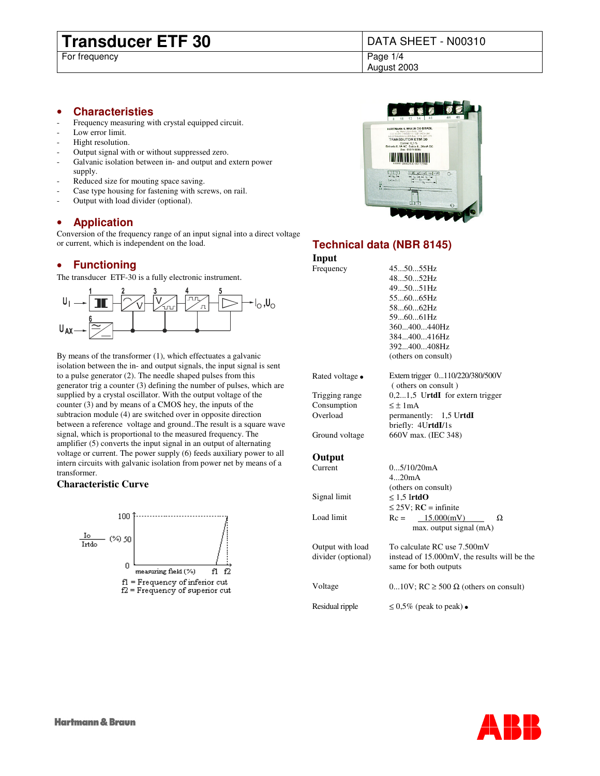# **Transducer ETF 30** DATA SHEET - N00310<br>For frequency

For frequency

August 2003

### • **Characteristies**

- Frequency measuring with crystal equipped circuit.
- Low error limit.
- Hight resolution.
- Output signal with or without suppressed zero.
- Galvanic isolation between in- and output and extern power supply.
- Reduced size for mouting space saving.
- Case type housing for fastening with screws, on rail.
- Output with load divider (optional).

### • **Application**

Conversion of the frequency range of an input signal into a direct voltage or current, which is independent on the load.

## • **Functioning**

The transducer ETF-30 is a fully electronic instrument.



By means of the transformer (1), which effectuates a galvanic isolation between the in- and output signals, the input signal is sent to a pulse generator (2). The needle shaped pulses from this generator trig a counter (3) defining the number of pulses, which are supplied by a crystal oscillator. With the output voltage of the counter (3) and by means of a CMOS hey, the inputs of the subtracion module (4) are switched over in opposite direction between a reference voltage and ground..The result is a square wave signal, which is proportional to the measured frequency. The amplifier (5) converts the input signal in an output of alternating voltage or current. The power supply (6) feeds auxiliary power to all intern circuits with galvanic isolation from power net by means of a transformer.

### **Characteristic Curve**





## **Technical data (NBR 8145)**

**Input** Frequency

| 455055Hz                         |
|----------------------------------|
| 485052Hz                         |
| $495051$ Hz                      |
| 556065Hz                         |
| $586062$ Hz                      |
| 596061Hz                         |
| 360400440Hz                      |
| 384400416Hz                      |
| 392400408Hz                      |
| (others on consult)              |
| Extern trigger 0110/220/380/500V |
|                                  |

Consumption  $\leq \pm 1 \text{ mA}$ 

( others on consult ) Trigging range 0,2...1,5 U**rtdI** for extern trigger Overload permanently: 1,5 U**rtdI** briefly: 4U**rtdI**/1s Ground voltage 660V max. (IEC 348)

## **Output**<br>Current

| Current            | 05/10/20mA                                                            |
|--------------------|-----------------------------------------------------------------------|
|                    | 420mA                                                                 |
|                    | (others on consult)                                                   |
| Signal limit       | $\leq 1.5$ IrtdO                                                      |
|                    | $\leq$ 25V; RC = infinite                                             |
| Load limit         | 15.000(mV)<br>$Rc =$<br>Ω                                             |
|                    | max. output signal (mA)                                               |
| Output with load   | To calculate RC use 7.500mV                                           |
| divider (optional) | instead of 15.000mV, the results will be the<br>same for both outputs |
| Voltage            | 010V; RC $\geq$ 500 $\Omega$ (others on consult)                      |
|                    |                                                                       |
| Residual ripple    | $\leq 0.5\%$ (peak to peak)                                           |
|                    |                                                                       |

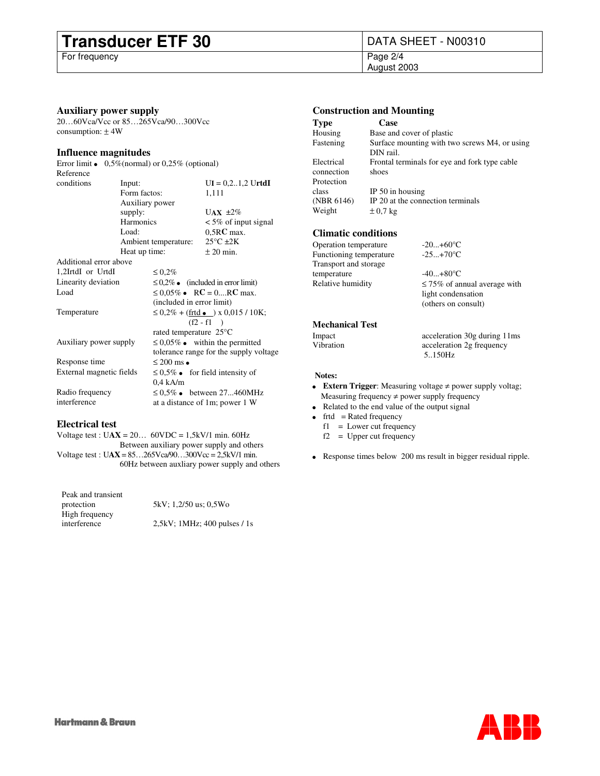# **Transducer ETF 30** DATA SHEET - N00310<br>For frequency Page 2/4

For frequency

August 2003

### **Auxiliary power supply**

20…60Vca/Vcc or 85…265Vca/90…300Vcc consumption:  $±$  4W

### **Influence magnitudes**

| Error limit              | $0,5\%$ (normal) or $0,25\%$ (optional) |                                        |  |                                        |  |  |  |  |
|--------------------------|-----------------------------------------|----------------------------------------|--|----------------------------------------|--|--|--|--|
| Reference                |                                         |                                        |  |                                        |  |  |  |  |
| conditions               | Input:                                  |                                        |  | $UI = 0, 2, 1, 2$ UrtdI                |  |  |  |  |
|                          | Form factos:                            |                                        |  | 1,111                                  |  |  |  |  |
|                          | Auxiliary power                         |                                        |  |                                        |  |  |  |  |
|                          | supply:                                 |                                        |  | UAX $\pm 2\%$                          |  |  |  |  |
|                          | Harmonics                               |                                        |  | $\leq 5\%$ of input signal             |  |  |  |  |
|                          | Load:                                   |                                        |  | $0,5RC$ max.                           |  |  |  |  |
|                          |                                         | Ambient temperature:                   |  | $25^{\circ}$ C $\pm 2K$                |  |  |  |  |
|                          | Heat up time:                           |                                        |  | $\pm 20$ min.                          |  |  |  |  |
| Additional error above   |                                         |                                        |  |                                        |  |  |  |  |
| 1,2IrtdI or UrtdI        |                                         | $\leq 0.2\%$                           |  |                                        |  |  |  |  |
| Linearity deviation      |                                         |                                        |  | $\leq 0.2\%$ (included in error limit) |  |  |  |  |
| Load                     |                                         |                                        |  | $\leq 0.05\%$ RC = 0RC max.            |  |  |  |  |
|                          | (included in error limit)               |                                        |  |                                        |  |  |  |  |
| Temperature              |                                         | $\leq$ 0,2% + (frtd ) x 0,015 / 10K;   |  |                                        |  |  |  |  |
|                          | $(f2 - f1)$                             |                                        |  |                                        |  |  |  |  |
|                          |                                         | rated temperature 25°C                 |  |                                        |  |  |  |  |
| Auxiliary power supply   |                                         |                                        |  | $\leq 0.05\%$ within the permitted     |  |  |  |  |
|                          |                                         | tolerance range for the supply voltage |  |                                        |  |  |  |  |
| Response time            |                                         | $\leq 200$ ms                          |  |                                        |  |  |  |  |
| External magnetic fields |                                         |                                        |  | $\leq 0.5\%$ for field intensity of    |  |  |  |  |
|                          |                                         | $0.4$ kA/m                             |  |                                        |  |  |  |  |
| Radio frequency          |                                         |                                        |  | $\leq 0.5\%$ between 27460MHz          |  |  |  |  |
| interference             |                                         | at a distance of 1m; power 1 W         |  |                                        |  |  |  |  |
|                          |                                         |                                        |  |                                        |  |  |  |  |

### **Electrical test**

Voltage test : U**AX** = 20… 60VDC = 1,5kV/1 min. 60Hz Between auxiliary power supply and others Voltage test : U**AX** = 85…265Vca/90…300Vcc = 2,5kV/1 min. 60Hz between auxliary power supply and others

| Peak and transient |                                 |
|--------------------|---------------------------------|
| protection         | 5kV; 1,2/50 us; 0,5Wo           |
| High frequency     |                                 |
| interference       | $2,5kV$ ; 1MHz; 400 pulses / 1s |
|                    |                                 |

### **Construction and Mounting**

| Type       | Case                                          |
|------------|-----------------------------------------------|
| Housing    | Base and cover of plastic                     |
| Fastening  | Surface mounting with two screws M4, or using |
|            | DIN rail.                                     |
| Electrical | Frontal terminals for eye and fork type cable |
| connection | shoes                                         |
| Protection |                                               |
| class      | IP $50$ in housing                            |
| (NBR 6146) | IP 20 at the connection terminals             |
| Weight     | $\pm 0.7$ kg                                  |
|            |                                               |

### **Climatic conditions**

| Operation temperature   | $-20+60$ °C                       |
|-------------------------|-----------------------------------|
| Functioning temperature | $-25+70$ °C                       |
| Transport and storage   |                                   |
| temperature             | $-40+80$ °C                       |
| Relative humidity       | $\leq$ 75% of annual average with |
|                         | light condensation                |
|                         | (others on consult)               |

## **Mechanical Test**

Impact acceleration 30g during 11ms<br>Vibration acceleration 2g frequency

### **Notes:**

 **Extern Trigger**: Measuring voltage ≠ power supply voltag; Measuring frequency ≠ power supply frequency Related to the end value of the output signal  $frtd =$  Rated frequency f1 = Lower cut frequency

5..150Hz

acceleration 2g frequency

f2 = Upper cut frequency

Response times below 200 ms result in bigger residual ripple.

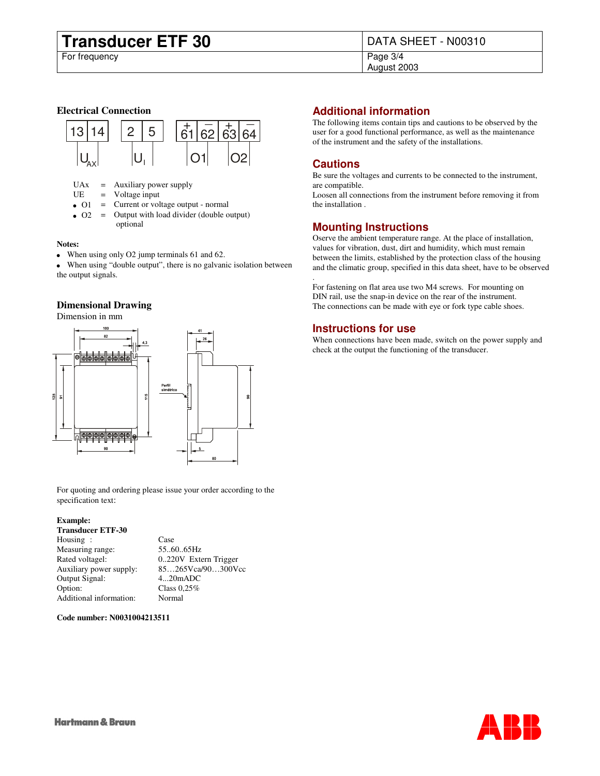# **Transducer ETF 30** DATA SHEET - N00310<br>For frequency

For frequency

August 2003

### **Electrical Connection**



 $UAx =$  Auxiliary power supply<br> $UE =$  Voltage input

 $=$  Voltage input

O1 = Current or voltage output - normal

O2 = Output with load divider (double output) optional

### **Notes:**

When using only O2 jump terminals 61 and 62.

 When using "double output", there is no galvanic isolation between the output signals.

### **Dimensional Drawing**

Dimension in mm



For quoting and ordering please issue your order according to the specification text:

### **Example:**

### **Transducer ETF-30**

| Housing :               | Case                  |
|-------------------------|-----------------------|
| Measuring range:        | 556065Hz              |
| Rated voltagel:         | 0.220V Extern Trigger |
| Auxiliary power supply: | 85265Vca/90300Vcc     |
| Output Signal:          | $420$ m $ADC$         |
| Option:                 | Class $0.25\%$        |
| Additional information: | Normal                |

**Code number: N0031004213511**

### **Additional information**

The following items contain tips and cautions to be observed by the user for a good functional performance, as well as the maintenance of the instrument and the safety of the installations.

### **Cautions**

.

Be sure the voltages and currents to be connected to the instrument, are compatible.

Loosen all connections from the instrument before removing it from the installation .

### **Mounting Instructions**

Oserve the ambient temperature range. At the place of installation, values for vibration, dust, dirt and humidity, which must remain between the limits, established by the protection class of the housing and the climatic group, specified in this data sheet, have to be observed

For fastening on flat area use two M4 screws. For mounting on DIN rail, use the snap-in device on the rear of the instrument. The connections can be made with eye or fork type cable shoes.

### **Instructions for use**

When connections have been made, switch on the power supply and check at the output the functioning of the transducer.